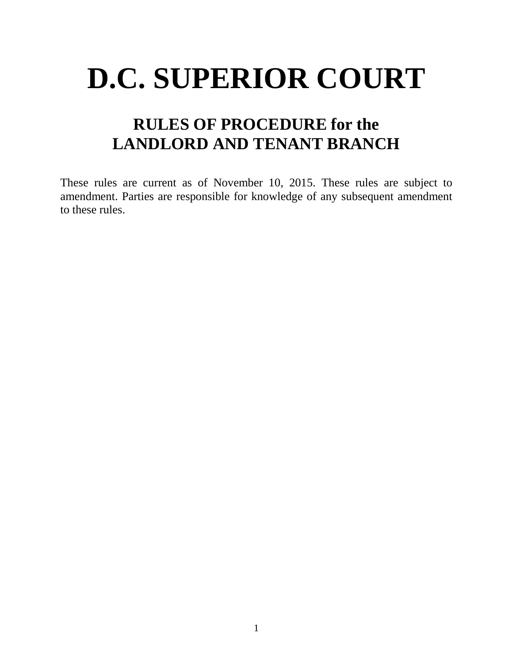# **D.C. SUPERIOR COURT**

# **RULES OF PROCEDURE for the LANDLORD AND TENANT BRANCH**

These rules are current as of November 10, 2015. These rules are subject to amendment. Parties are responsible for knowledge of any subsequent amendment to these rules.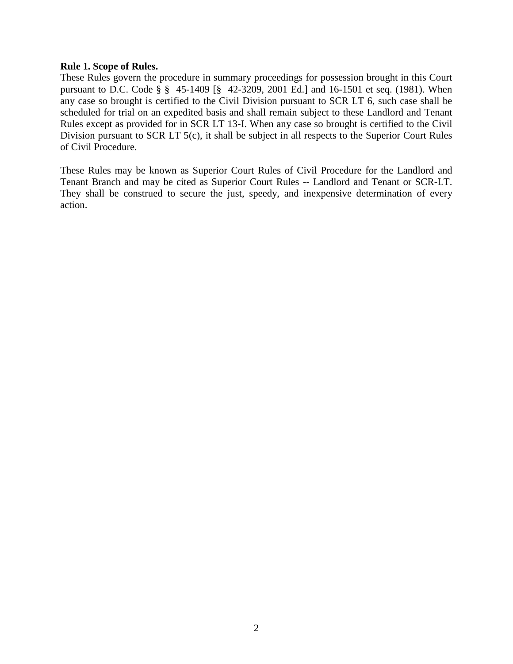# **Rule 1. Scope of Rules.**

These Rules govern the procedure in summary proceedings for possession brought in this Court pursuant to D.C. Code § § 45-1409 [§ 42-3209, 2001 Ed.] and 16-1501 et seq. (1981). When any case so brought is certified to the Civil Division pursuant to SCR LT 6, such case shall be scheduled for trial on an expedited basis and shall remain subject to these Landlord and Tenant Rules except as provided for in SCR LT 13-I. When any case so brought is certified to the Civil Division pursuant to SCR LT 5(c), it shall be subject in all respects to the Superior Court Rules of Civil Procedure.

These Rules may be known as Superior Court Rules of Civil Procedure for the Landlord and Tenant Branch and may be cited as Superior Court Rules -- Landlord and Tenant or SCR-LT. They shall be construed to secure the just, speedy, and inexpensive determination of every action.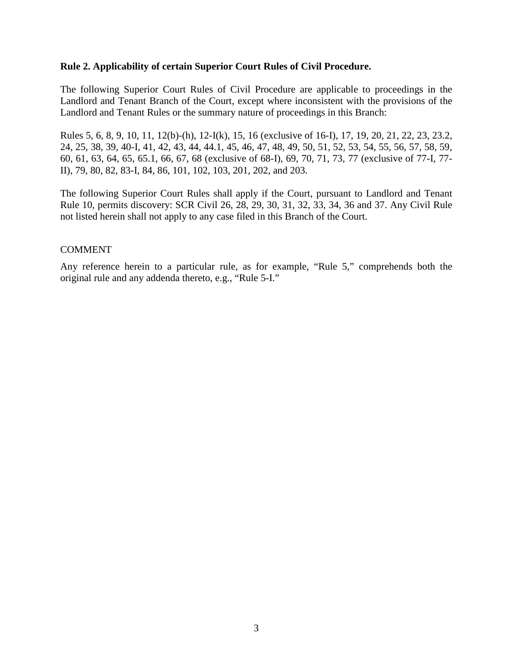# **Rule 2. Applicability of certain Superior Court Rules of Civil Procedure.**

The following Superior Court Rules of Civil Procedure are applicable to proceedings in the Landlord and Tenant Branch of the Court, except where inconsistent with the provisions of the Landlord and Tenant Rules or the summary nature of proceedings in this Branch:

Rules 5, 6, 8, 9, 10, 11, 12(b)-(h), 12-I(k), 15, 16 (exclusive of 16-I), 17, 19, 20, 21, 22, 23, 23.2, 24, 25, 38, 39, 40-I, 41, 42, 43, 44, 44.1, 45, 46, 47, 48, 49, 50, 51, 52, 53, 54, 55, 56, 57, 58, 59, 60, 61, 63, 64, 65, 65.1, 66, 67, 68 (exclusive of 68-I), 69, 70, 71, 73, 77 (exclusive of 77-I, 77- II), 79, 80, 82, 83-I, 84, 86, 101, 102, 103, 201, 202, and 203.

The following Superior Court Rules shall apply if the Court, pursuant to Landlord and Tenant Rule 10, permits discovery: SCR Civil 26, 28, 29, 30, 31, 32, 33, 34, 36 and 37. Any Civil Rule not listed herein shall not apply to any case filed in this Branch of the Court.

# COMMENT

Any reference herein to a particular rule, as for example, "Rule 5," comprehends both the original rule and any addenda thereto, e.g., "Rule 5-I."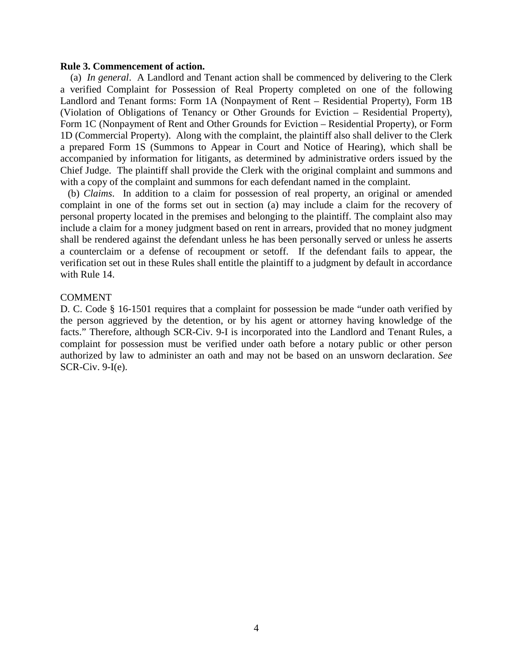#### **Rule 3. Commencement of action.**

(a) *In general*. A Landlord and Tenant action shall be commenced by delivering to the Clerk a verified Complaint for Possession of Real Property completed on one of the following Landlord and Tenant forms: Form 1A (Nonpayment of Rent – Residential Property), Form 1B (Violation of Obligations of Tenancy or Other Grounds for Eviction – Residential Property), Form 1C (Nonpayment of Rent and Other Grounds for Eviction – Residential Property), or Form 1D (Commercial Property). Along with the complaint, the plaintiff also shall deliver to the Clerk a prepared Form 1S (Summons to Appear in Court and Notice of Hearing), which shall be accompanied by information for litigants, as determined by administrative orders issued by the Chief Judge. The plaintiff shall provide the Clerk with the original complaint and summons and with a copy of the complaint and summons for each defendant named in the complaint.

 (b) *Claims*. In addition to a claim for possession of real property, an original or amended complaint in one of the forms set out in section (a) may include a claim for the recovery of personal property located in the premises and belonging to the plaintiff. The complaint also may include a claim for a money judgment based on rent in arrears, provided that no money judgment shall be rendered against the defendant unless he has been personally served or unless he asserts a counterclaim or a defense of recoupment or setoff. If the defendant fails to appear, the verification set out in these Rules shall entitle the plaintiff to a judgment by default in accordance with Rule 14.

# COMMENT

D. C. Code § 16-1501 requires that a complaint for possession be made "under oath verified by the person aggrieved by the detention, or by his agent or attorney having knowledge of the facts." Therefore, although SCR-Civ. 9-I is incorporated into the Landlord and Tenant Rules, a complaint for possession must be verified under oath before a notary public or other person authorized by law to administer an oath and may not be based on an unsworn declaration. *See* SCR-Civ. 9-I(e).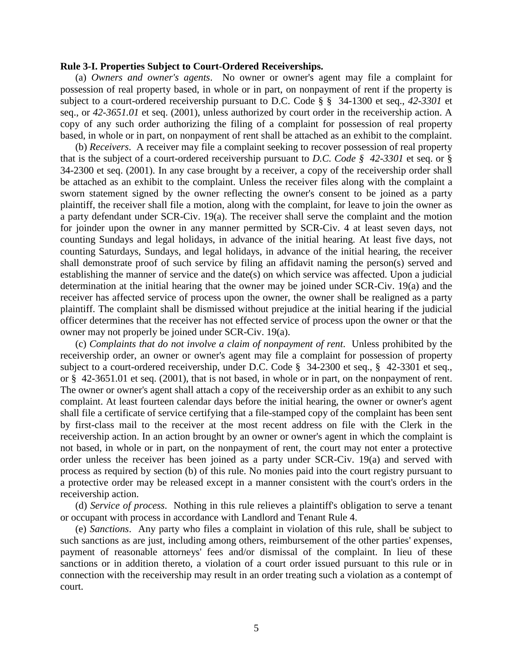#### **Rule 3-I. Properties Subject to Court-Ordered Receiverships.**

(a) *Owners and owner's agents*. No owner or owner's agent may file a complaint for possession of real property based, in whole or in part, on nonpayment of rent if the property is subject to a court-ordered receivership pursuant to D.C. Code § § 34-1300 et seq., *42-3301* et seq., or *42-3651.01* et seq. (2001), unless authorized by court order in the receivership action. A copy of any such order authorizing the filing of a complaint for possession of real property based, in whole or in part, on nonpayment of rent shall be attached as an exhibit to the complaint.

(b) *Receivers*. A receiver may file a complaint seeking to recover possession of real property that is the subject of a court-ordered receivership pursuant to *D.C. Code § 42-3301* et seq. or § 34-2300 et seq. (2001). In any case brought by a receiver, a copy of the receivership order shall be attached as an exhibit to the complaint. Unless the receiver files along with the complaint a sworn statement signed by the owner reflecting the owner's consent to be joined as a party plaintiff, the receiver shall file a motion, along with the complaint, for leave to join the owner as a party defendant under SCR-Civ. 19(a). The receiver shall serve the complaint and the motion for joinder upon the owner in any manner permitted by SCR-Civ. 4 at least seven days, not counting Sundays and legal holidays, in advance of the initial hearing. At least five days, not counting Saturdays, Sundays, and legal holidays, in advance of the initial hearing, the receiver shall demonstrate proof of such service by filing an affidavit naming the person(s) served and establishing the manner of service and the date(s) on which service was affected. Upon a judicial determination at the initial hearing that the owner may be joined under SCR-Civ. 19(a) and the receiver has affected service of process upon the owner, the owner shall be realigned as a party plaintiff. The complaint shall be dismissed without prejudice at the initial hearing if the judicial officer determines that the receiver has not effected service of process upon the owner or that the owner may not properly be joined under SCR-Civ. 19(a).

(c) *Complaints that do not involve a claim of nonpayment of rent*. Unless prohibited by the receivership order, an owner or owner's agent may file a complaint for possession of property subject to a court-ordered receivership, under D.C. Code § 34-2300 et seq., § 42-3301 et seq., or § 42-3651.01 et seq. (2001), that is not based, in whole or in part, on the nonpayment of rent. The owner or owner's agent shall attach a copy of the receivership order as an exhibit to any such complaint. At least fourteen calendar days before the initial hearing, the owner or owner's agent shall file a certificate of service certifying that a file-stamped copy of the complaint has been sent by first-class mail to the receiver at the most recent address on file with the Clerk in the receivership action. In an action brought by an owner or owner's agent in which the complaint is not based, in whole or in part, on the nonpayment of rent, the court may not enter a protective order unless the receiver has been joined as a party under SCR-Civ. 19(a) and served with process as required by section (b) of this rule. No monies paid into the court registry pursuant to a protective order may be released except in a manner consistent with the court's orders in the receivership action.

(d) *Service of process*. Nothing in this rule relieves a plaintiff's obligation to serve a tenant or occupant with process in accordance with Landlord and Tenant Rule 4.

(e) *Sanctions*. Any party who files a complaint in violation of this rule, shall be subject to such sanctions as are just, including among others, reimbursement of the other parties' expenses, payment of reasonable attorneys' fees and/or dismissal of the complaint. In lieu of these sanctions or in addition thereto, a violation of a court order issued pursuant to this rule or in connection with the receivership may result in an order treating such a violation as a contempt of court.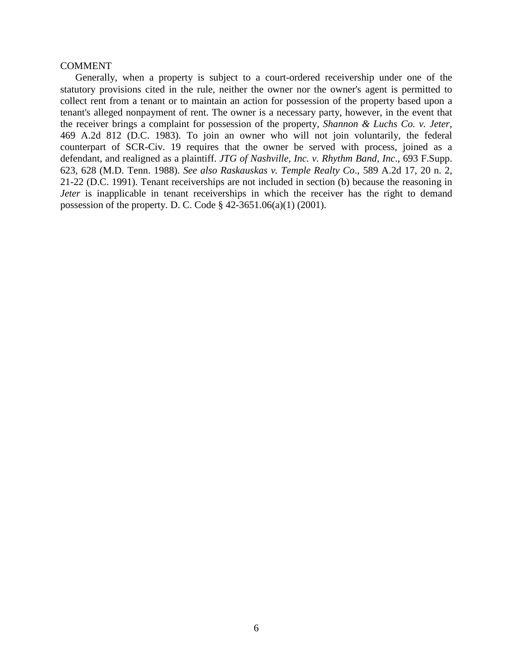# COMMENT

Generally, when a property is subject to a court-ordered receivership under one of the statutory provisions cited in the rule, neither the owner nor the owner's agent is permitted to collect rent from a tenant or to maintain an action for possession of the property based upon a tenant's alleged nonpayment of rent. The owner is a necessary party, however, in the event that the receiver brings a complaint for possession of the property, *Shannon & Luchs Co. v. Jeter*, 469 A.2d 812 (D.C. 1983). To join an owner who will not join voluntarily, the federal counterpart of SCR-Civ. 19 requires that the owner be served with process, joined as a defendant, and realigned as a plaintiff. *JTG of Nashville, Inc. v. Rhythm Band, Inc*., 693 F.Supp. 623, 628 (M.D. Tenn. 1988). *See also Raskauskas v. Temple Realty Co*., 589 A.2d 17, 20 n. 2, 21-22 (D.C. 1991). Tenant receiverships are not included in section (b) because the reasoning in *Jeter* is inapplicable in tenant receiverships in which the receiver has the right to demand possession of the property. D. C. Code § 42-3651.06(a)(1) (2001).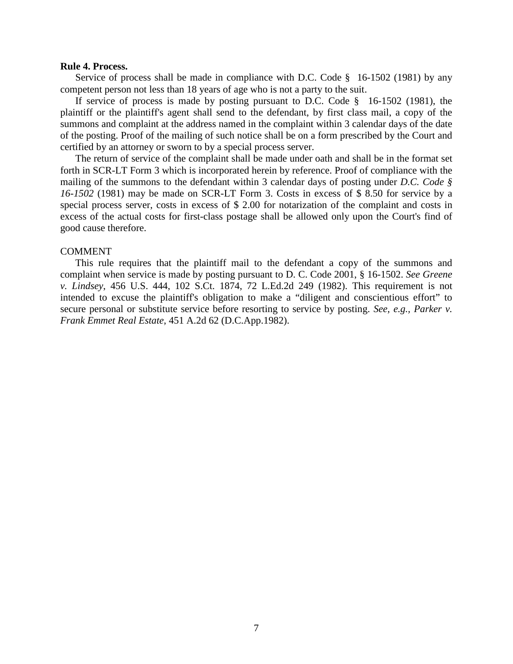#### **Rule 4. Process.**

Service of process shall be made in compliance with D.C. Code § 16-1502 (1981) by any competent person not less than 18 years of age who is not a party to the suit.

If service of process is made by posting pursuant to D.C. Code § 16-1502 (1981), the plaintiff or the plaintiff's agent shall send to the defendant, by first class mail, a copy of the summons and complaint at the address named in the complaint within 3 calendar days of the date of the posting. Proof of the mailing of such notice shall be on a form prescribed by the Court and certified by an attorney or sworn to by a special process server.

The return of service of the complaint shall be made under oath and shall be in the format set forth in SCR-LT Form 3 which is incorporated herein by reference. Proof of compliance with the mailing of the summons to the defendant within 3 calendar days of posting under *D.C. Code § 16-1502* (1981) may be made on SCR-LT Form 3. Costs in excess of \$ 8.50 for service by a special process server, costs in excess of \$ 2.00 for notarization of the complaint and costs in excess of the actual costs for first-class postage shall be allowed only upon the Court's find of good cause therefore.

#### COMMENT

This rule requires that the plaintiff mail to the defendant a copy of the summons and complaint when service is made by posting pursuant to D. C. Code 2001, § 16-1502. *See Greene v. Lindsey*, 456 U.S. 444, 102 S.Ct. 1874, 72 L.Ed.2d 249 (1982). This requirement is not intended to excuse the plaintiff's obligation to make a "diligent and conscientious effort" to secure personal or substitute service before resorting to service by posting. *See, e.g., Parker v. Frank Emmet Real Estate*, 451 A.2d 62 (D.C.App.1982).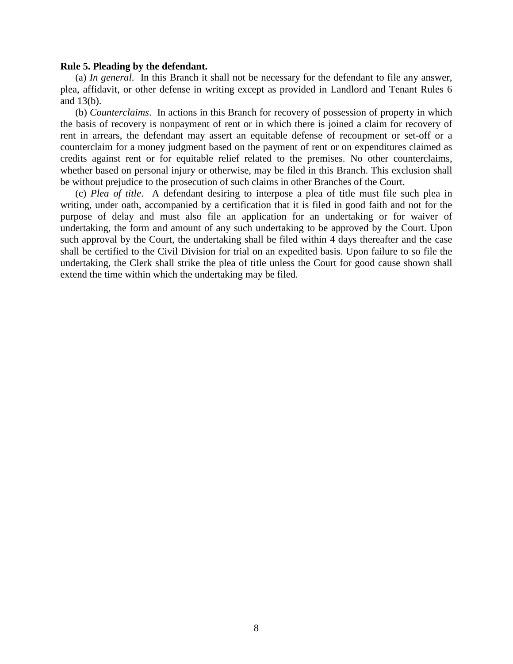#### **Rule 5. Pleading by the defendant.**

(a) *In general*.In this Branch it shall not be necessary for the defendant to file any answer, plea, affidavit, or other defense in writing except as provided in Landlord and Tenant Rules 6 and 13(b).

(b) *Counterclaims*.In actions in this Branch for recovery of possession of property in which the basis of recovery is nonpayment of rent or in which there is joined a claim for recovery of rent in arrears, the defendant may assert an equitable defense of recoupment or set-off or a counterclaim for a money judgment based on the payment of rent or on expenditures claimed as credits against rent or for equitable relief related to the premises. No other counterclaims, whether based on personal injury or otherwise, may be filed in this Branch. This exclusion shall be without prejudice to the prosecution of such claims in other Branches of the Court.

(c) *Plea of title*.A defendant desiring to interpose a plea of title must file such plea in writing, under oath, accompanied by a certification that it is filed in good faith and not for the purpose of delay and must also file an application for an undertaking or for waiver of undertaking, the form and amount of any such undertaking to be approved by the Court. Upon such approval by the Court, the undertaking shall be filed within 4 days thereafter and the case shall be certified to the Civil Division for trial on an expedited basis. Upon failure to so file the undertaking, the Clerk shall strike the plea of title unless the Court for good cause shown shall extend the time within which the undertaking may be filed.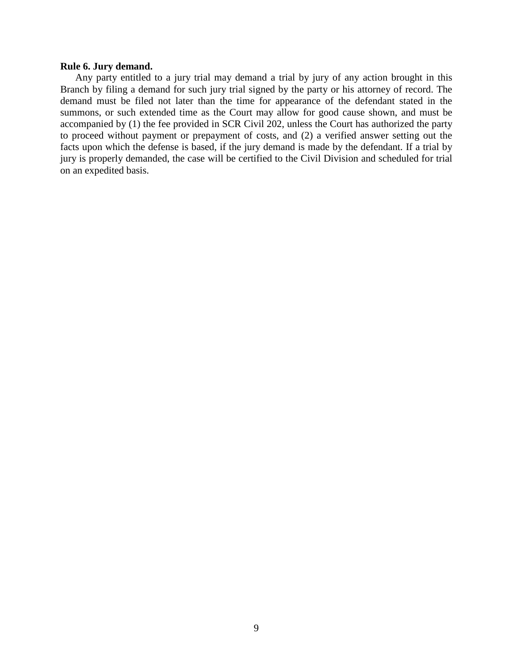### **Rule 6. Jury demand.**

Any party entitled to a jury trial may demand a trial by jury of any action brought in this Branch by filing a demand for such jury trial signed by the party or his attorney of record. The demand must be filed not later than the time for appearance of the defendant stated in the summons, or such extended time as the Court may allow for good cause shown, and must be accompanied by (1) the fee provided in SCR Civil 202, unless the Court has authorized the party to proceed without payment or prepayment of costs, and (2) a verified answer setting out the facts upon which the defense is based, if the jury demand is made by the defendant. If a trial by jury is properly demanded, the case will be certified to the Civil Division and scheduled for trial on an expedited basis.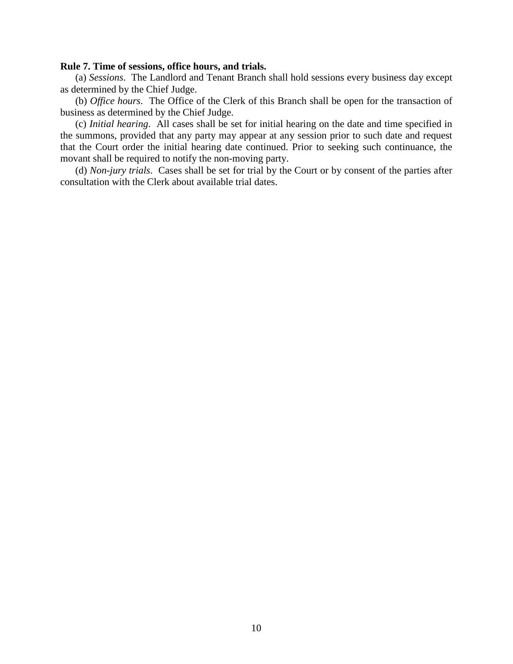## **Rule 7. Time of sessions, office hours, and trials.**

(a) *Sessions*. The Landlord and Tenant Branch shall hold sessions every business day except as determined by the Chief Judge.

(b) *Office hours*. The Office of the Clerk of this Branch shall be open for the transaction of business as determined by the Chief Judge.

(c) *Initial hearing*. All cases shall be set for initial hearing on the date and time specified in the summons, provided that any party may appear at any session prior to such date and request that the Court order the initial hearing date continued. Prior to seeking such continuance, the movant shall be required to notify the non-moving party.

(d) *Non-jury trials*. Cases shall be set for trial by the Court or by consent of the parties after consultation with the Clerk about available trial dates.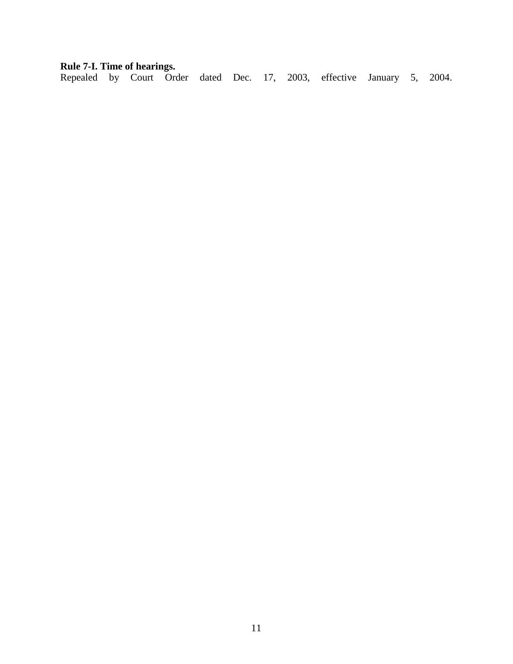# **Rule 7-I. Time of hearings.**

Repealed by Court Order dated Dec. 17, 2003, effective January 5, 2004.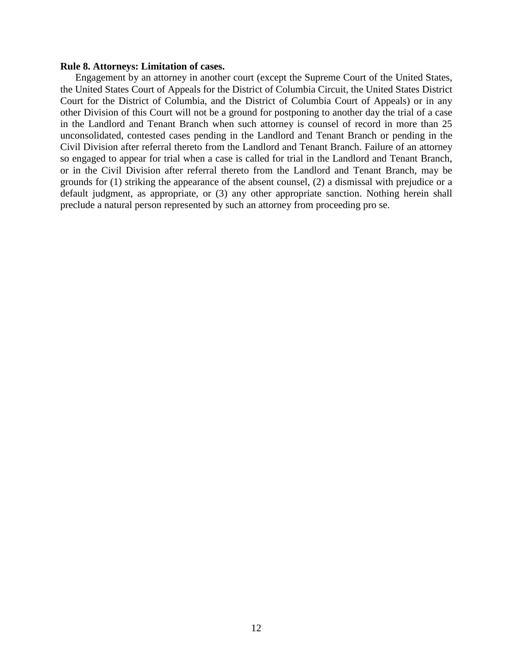#### **Rule 8. Attorneys: Limitation of cases.**

Engagement by an attorney in another court (except the Supreme Court of the United States, the United States Court of Appeals for the District of Columbia Circuit, the United States District Court for the District of Columbia, and the District of Columbia Court of Appeals) or in any other Division of this Court will not be a ground for postponing to another day the trial of a case in the Landlord and Tenant Branch when such attorney is counsel of record in more than 25 unconsolidated, contested cases pending in the Landlord and Tenant Branch or pending in the Civil Division after referral thereto from the Landlord and Tenant Branch. Failure of an attorney so engaged to appear for trial when a case is called for trial in the Landlord and Tenant Branch, or in the Civil Division after referral thereto from the Landlord and Tenant Branch, may be grounds for (1) striking the appearance of the absent counsel, (2) a dismissal with prejudice or a default judgment, as appropriate, or (3) any other appropriate sanction. Nothing herein shall preclude a natural person represented by such an attorney from proceeding pro se.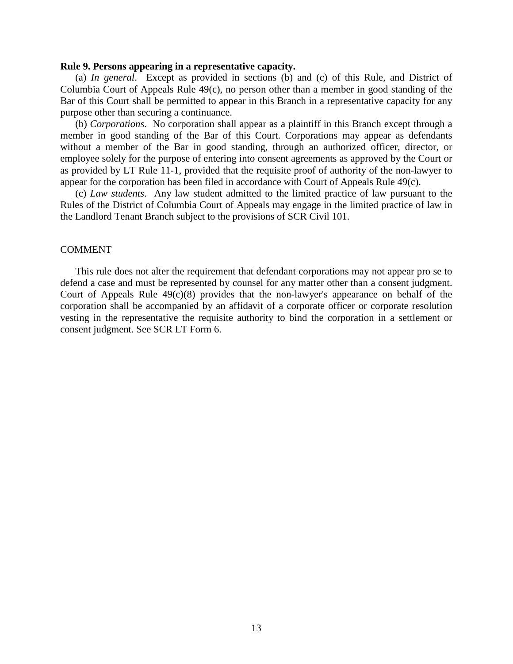#### **Rule 9. Persons appearing in a representative capacity.**

(a) *In general*. Except as provided in sections (b) and (c) of this Rule, and District of Columbia Court of Appeals Rule 49(c), no person other than a member in good standing of the Bar of this Court shall be permitted to appear in this Branch in a representative capacity for any purpose other than securing a continuance.

(b) *Corporations*. No corporation shall appear as a plaintiff in this Branch except through a member in good standing of the Bar of this Court. Corporations may appear as defendants without a member of the Bar in good standing, through an authorized officer, director, or employee solely for the purpose of entering into consent agreements as approved by the Court or as provided by LT Rule 11-1, provided that the requisite proof of authority of the non-lawyer to appear for the corporation has been filed in accordance with Court of Appeals Rule 49(c).

(c) *Law students*. Any law student admitted to the limited practice of law pursuant to the Rules of the District of Columbia Court of Appeals may engage in the limited practice of law in the Landlord Tenant Branch subject to the provisions of SCR Civil 101.

#### COMMENT

This rule does not alter the requirement that defendant corporations may not appear pro se to defend a case and must be represented by counsel for any matter other than a consent judgment. Court of Appeals Rule 49(c)(8) provides that the non-lawyer's appearance on behalf of the corporation shall be accompanied by an affidavit of a corporate officer or corporate resolution vesting in the representative the requisite authority to bind the corporation in a settlement or consent judgment. See SCR LT Form 6.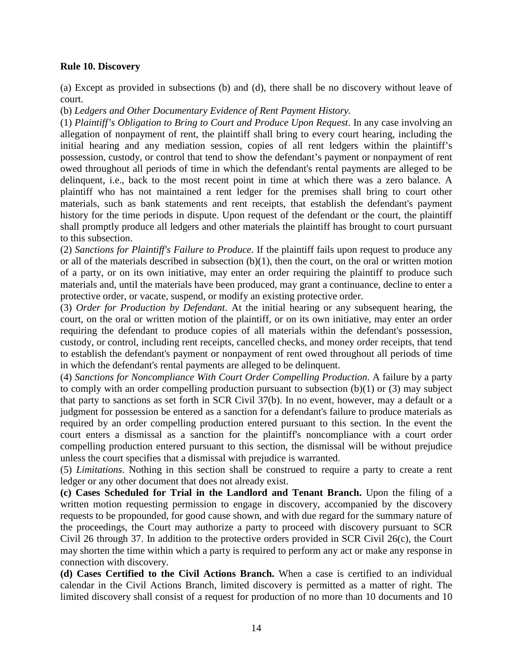# **Rule 10. Discovery**

(a) Except as provided in subsections (b) and (d), there shall be no discovery without leave of court.

(b) *Ledgers and Other Documentary Evidence of Rent Payment History.*

(1) *Plaintiff's Obligation to Bring to Court and Produce Upon Request*. In any case involving an allegation of nonpayment of rent, the plaintiff shall bring to every court hearing, including the initial hearing and any mediation session, copies of all rent ledgers within the plaintiff's possession, custody, or control that tend to show the defendant's payment or nonpayment of rent owed throughout all periods of time in which the defendant's rental payments are alleged to be delinquent, i.e., back to the most recent point in time at which there was a zero balance. A plaintiff who has not maintained a rent ledger for the premises shall bring to court other materials, such as bank statements and rent receipts, that establish the defendant's payment history for the time periods in dispute. Upon request of the defendant or the court, the plaintiff shall promptly produce all ledgers and other materials the plaintiff has brought to court pursuant to this subsection.

(2) *Sanctions for Plaintiff's Failure to Produce*. If the plaintiff fails upon request to produce any or all of the materials described in subsection (b)(1), then the court, on the oral or written motion of a party, or on its own initiative, may enter an order requiring the plaintiff to produce such materials and, until the materials have been produced, may grant a continuance, decline to enter a protective order, or vacate, suspend, or modify an existing protective order.

(3) *Order for Production by Defendant*. At the initial hearing or any subsequent hearing, the court, on the oral or written motion of the plaintiff, or on its own initiative, may enter an order requiring the defendant to produce copies of all materials within the defendant's possession, custody, or control, including rent receipts, cancelled checks, and money order receipts, that tend to establish the defendant's payment or nonpayment of rent owed throughout all periods of time in which the defendant's rental payments are alleged to be delinquent.

(4) *Sanctions for Noncompliance With Court Order Compelling Production*. A failure by a party to comply with an order compelling production pursuant to subsection  $(b)(1)$  or  $(3)$  may subject that party to sanctions as set forth in SCR Civil 37(b). In no event, however, may a default or a judgment for possession be entered as a sanction for a defendant's failure to produce materials as required by an order compelling production entered pursuant to this section. In the event the court enters a dismissal as a sanction for the plaintiff's noncompliance with a court order compelling production entered pursuant to this section, the dismissal will be without prejudice unless the court specifies that a dismissal with prejudice is warranted.

(5) *Limitations*. Nothing in this section shall be construed to require a party to create a rent ledger or any other document that does not already exist.

**(c) Cases Scheduled for Trial in the Landlord and Tenant Branch.** Upon the filing of a written motion requesting permission to engage in discovery, accompanied by the discovery requests to be propounded, for good cause shown, and with due regard for the summary nature of the proceedings, the Court may authorize a party to proceed with discovery pursuant to SCR Civil 26 through 37. In addition to the protective orders provided in SCR Civil 26(c), the Court may shorten the time within which a party is required to perform any act or make any response in connection with discovery.

**(d) Cases Certified to the Civil Actions Branch.** When a case is certified to an individual calendar in the Civil Actions Branch, limited discovery is permitted as a matter of right. The limited discovery shall consist of a request for production of no more than 10 documents and 10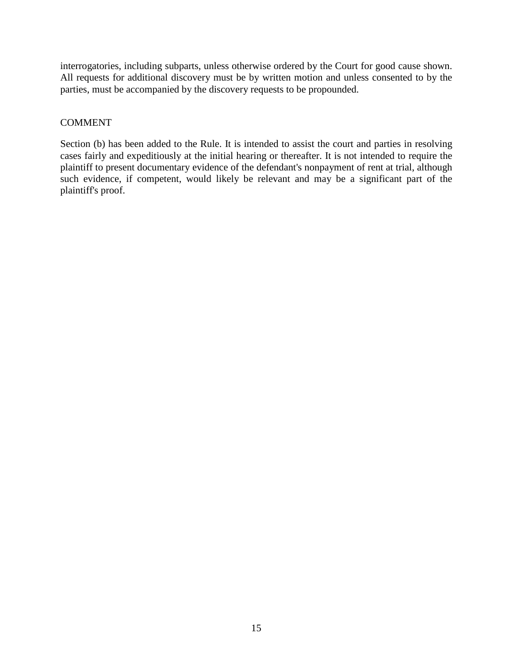interrogatories, including subparts, unless otherwise ordered by the Court for good cause shown. All requests for additional discovery must be by written motion and unless consented to by the parties, must be accompanied by the discovery requests to be propounded.

# COMMENT

Section (b) has been added to the Rule. It is intended to assist the court and parties in resolving cases fairly and expeditiously at the initial hearing or thereafter. It is not intended to require the plaintiff to present documentary evidence of the defendant's nonpayment of rent at trial, although such evidence, if competent, would likely be relevant and may be a significant part of the plaintiff's proof.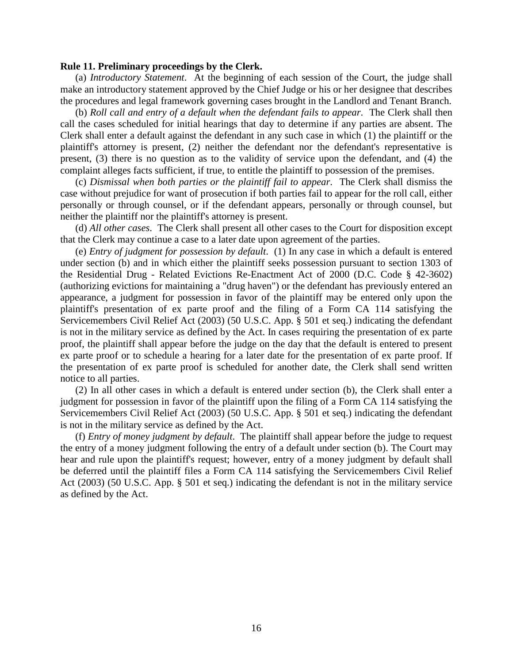#### **Rule 11. Preliminary proceedings by the Clerk.**

(a) *Introductory Statement*. At the beginning of each session of the Court, the judge shall make an introductory statement approved by the Chief Judge or his or her designee that describes the procedures and legal framework governing cases brought in the Landlord and Tenant Branch.

(b) *Roll call and entry of a default when the defendant fails to appear*. The Clerk shall then call the cases scheduled for initial hearings that day to determine if any parties are absent. The Clerk shall enter a default against the defendant in any such case in which (1) the plaintiff or the plaintiff's attorney is present, (2) neither the defendant nor the defendant's representative is present, (3) there is no question as to the validity of service upon the defendant, and (4) the complaint alleges facts sufficient, if true, to entitle the plaintiff to possession of the premises.

(c) *Dismissal when both parties or the plaintiff fail to appear*. The Clerk shall dismiss the case without prejudice for want of prosecution if both parties fail to appear for the roll call, either personally or through counsel, or if the defendant appears, personally or through counsel, but neither the plaintiff nor the plaintiff's attorney is present.

(d) *All other cases*. The Clerk shall present all other cases to the Court for disposition except that the Clerk may continue a case to a later date upon agreement of the parties.

(e) *Entry of judgment for possession by default*. (1) In any case in which a default is entered under section (b) and in which either the plaintiff seeks possession pursuant to section 1303 of the Residential Drug - Related Evictions Re-Enactment Act of 2000 (D.C. Code § 42-3602) (authorizing evictions for maintaining a "drug haven") or the defendant has previously entered an appearance, a judgment for possession in favor of the plaintiff may be entered only upon the plaintiff's presentation of ex parte proof and the filing of a Form CA 114 satisfying the Servicemembers Civil Relief Act (2003) (50 U.S.C. App. § 501 et seq.) indicating the defendant is not in the military service as defined by the Act. In cases requiring the presentation of ex parte proof, the plaintiff shall appear before the judge on the day that the default is entered to present ex parte proof or to schedule a hearing for a later date for the presentation of ex parte proof. If the presentation of ex parte proof is scheduled for another date, the Clerk shall send written notice to all parties.

(2) In all other cases in which a default is entered under section (b), the Clerk shall enter a judgment for possession in favor of the plaintiff upon the filing of a Form CA 114 satisfying the Servicemembers Civil Relief Act (2003) (50 U.S.C. App. § 501 et seq.) indicating the defendant is not in the military service as defined by the Act.

(f) *Entry of money judgment by default*. The plaintiff shall appear before the judge to request the entry of a money judgment following the entry of a default under section (b). The Court may hear and rule upon the plaintiff's request; however, entry of a money judgment by default shall be deferred until the plaintiff files a Form CA 114 satisfying the Servicemembers Civil Relief Act (2003) (50 U.S.C. App. § 501 et seq.) indicating the defendant is not in the military service as defined by the Act.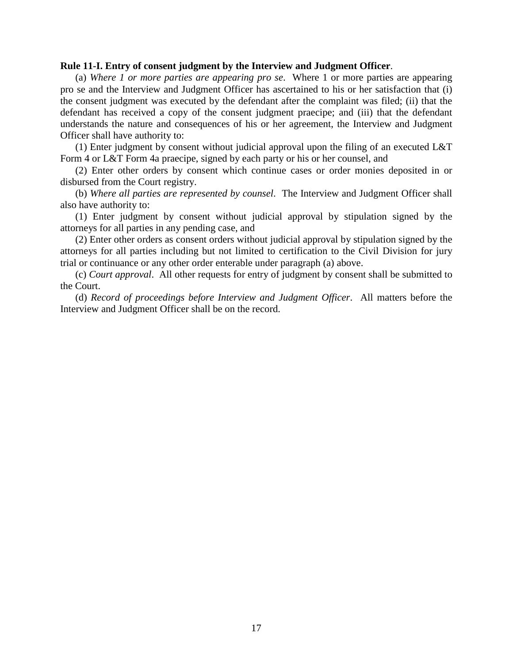#### **Rule 11-I. Entry of consent judgment by the Interview and Judgment Officer**.

(a) *Where 1 or more parties are appearing pro se*. Where 1 or more parties are appearing pro se and the Interview and Judgment Officer has ascertained to his or her satisfaction that (i) the consent judgment was executed by the defendant after the complaint was filed; (ii) that the defendant has received a copy of the consent judgment praecipe; and (iii) that the defendant understands the nature and consequences of his or her agreement, the Interview and Judgment Officer shall have authority to:

(1) Enter judgment by consent without judicial approval upon the filing of an executed L&T Form 4 or L&T Form 4a praecipe, signed by each party or his or her counsel, and

(2) Enter other orders by consent which continue cases or order monies deposited in or disbursed from the Court registry.

(b) *Where all parties are represented by counsel*. The Interview and Judgment Officer shall also have authority to:

(1) Enter judgment by consent without judicial approval by stipulation signed by the attorneys for all parties in any pending case, and

(2) Enter other orders as consent orders without judicial approval by stipulation signed by the attorneys for all parties including but not limited to certification to the Civil Division for jury trial or continuance or any other order enterable under paragraph (a) above.

(c) *Court approval*. All other requests for entry of judgment by consent shall be submitted to the Court.

(d) *Record of proceedings before Interview and Judgment Officer*. All matters before the Interview and Judgment Officer shall be on the record.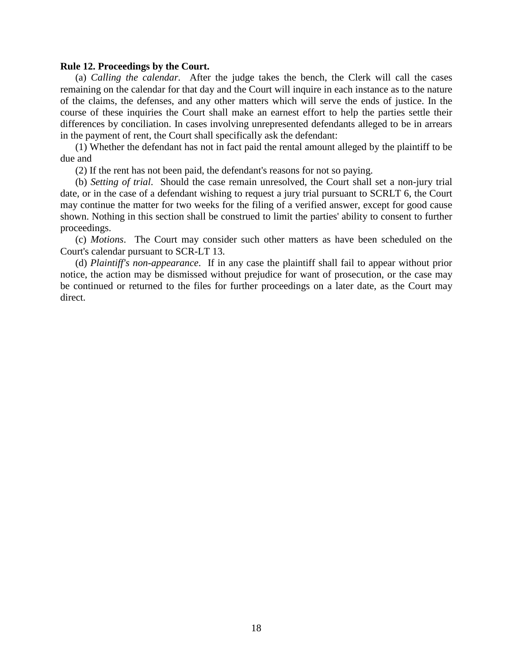#### **Rule 12. Proceedings by the Court.**

(a) *Calling the calendar*. After the judge takes the bench, the Clerk will call the cases remaining on the calendar for that day and the Court will inquire in each instance as to the nature of the claims, the defenses, and any other matters which will serve the ends of justice. In the course of these inquiries the Court shall make an earnest effort to help the parties settle their differences by conciliation. In cases involving unrepresented defendants alleged to be in arrears in the payment of rent, the Court shall specifically ask the defendant:

(1) Whether the defendant has not in fact paid the rental amount alleged by the plaintiff to be due and

(2) If the rent has not been paid, the defendant's reasons for not so paying.

(b) *Setting of trial*. Should the case remain unresolved, the Court shall set a non-jury trial date, or in the case of a defendant wishing to request a jury trial pursuant to SCRLT 6, the Court may continue the matter for two weeks for the filing of a verified answer, except for good cause shown. Nothing in this section shall be construed to limit the parties' ability to consent to further proceedings.

(c) *Motions*. The Court may consider such other matters as have been scheduled on the Court's calendar pursuant to SCR-LT 13.

(d) *Plaintiff's non-appearance*. If in any case the plaintiff shall fail to appear without prior notice, the action may be dismissed without prejudice for want of prosecution, or the case may be continued or returned to the files for further proceedings on a later date, as the Court may direct.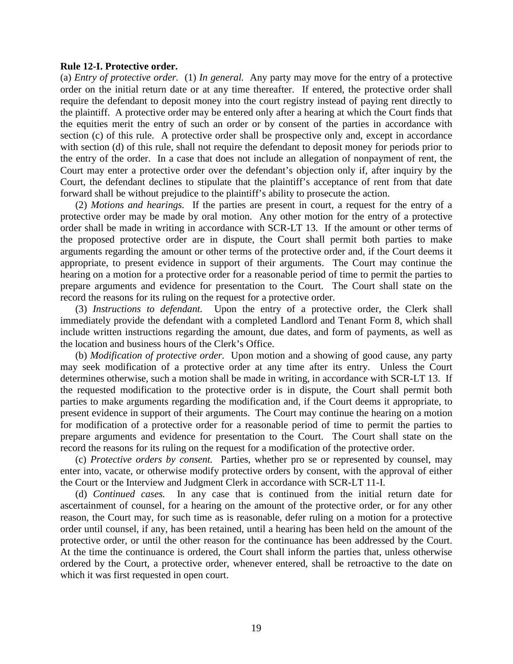#### **Rule 12-I. Protective order.**

(a) *Entry of protective order.*(1) *In general.* Any party may move for the entry of a protective order on the initial return date or at any time thereafter. If entered, the protective order shall require the defendant to deposit money into the court registry instead of paying rent directly to the plaintiff. A protective order may be entered only after a hearing at which the Court finds that the equities merit the entry of such an order or by consent of the parties in accordance with section (c) of this rule. A protective order shall be prospective only and, except in accordance with section (d) of this rule, shall not require the defendant to deposit money for periods prior to the entry of the order. In a case that does not include an allegation of nonpayment of rent, the Court may enter a protective order over the defendant's objection only if, after inquiry by the Court, the defendant declines to stipulate that the plaintiff's acceptance of rent from that date forward shall be without prejudice to the plaintiff's ability to prosecute the action.

(2) *Motions and hearings.* If the parties are present in court, a request for the entry of a protective order may be made by oral motion. Any other motion for the entry of a protective order shall be made in writing in accordance with SCR-LT 13. If the amount or other terms of the proposed protective order are in dispute, the Court shall permit both parties to make arguments regarding the amount or other terms of the protective order and, if the Court deems it appropriate, to present evidence in support of their arguments. The Court may continue the hearing on a motion for a protective order for a reasonable period of time to permit the parties to prepare arguments and evidence for presentation to the Court. The Court shall state on the record the reasons for its ruling on the request for a protective order.

(3) *Instructions to defendant.* Upon the entry of a protective order, the Clerk shall immediately provide the defendant with a completed Landlord and Tenant Form 8, which shall include written instructions regarding the amount, due dates, and form of payments, as well as the location and business hours of the Clerk's Office.

(b) *Modification of protective order.* Upon motion and a showing of good cause, any party may seek modification of a protective order at any time after its entry. Unless the Court determines otherwise, such a motion shall be made in writing, in accordance with SCR-LT 13. If the requested modification to the protective order is in dispute, the Court shall permit both parties to make arguments regarding the modification and, if the Court deems it appropriate, to present evidence in support of their arguments. The Court may continue the hearing on a motion for modification of a protective order for a reasonable period of time to permit the parties to prepare arguments and evidence for presentation to the Court. The Court shall state on the record the reasons for its ruling on the request for a modification of the protective order.

(c) *Protective orders by consent.* Parties, whether pro se or represented by counsel, may enter into, vacate, or otherwise modify protective orders by consent, with the approval of either the Court or the Interview and Judgment Clerk in accordance with SCR-LT 11-I.

(d) *Continued cases.*In any case that is continued from the initial return date for ascertainment of counsel, for a hearing on the amount of the protective order, or for any other reason, the Court may, for such time as is reasonable, defer ruling on a motion for a protective order until counsel, if any, has been retained, until a hearing has been held on the amount of the protective order, or until the other reason for the continuance has been addressed by the Court. At the time the continuance is ordered, the Court shall inform the parties that, unless otherwise ordered by the Court, a protective order, whenever entered, shall be retroactive to the date on which it was first requested in open court.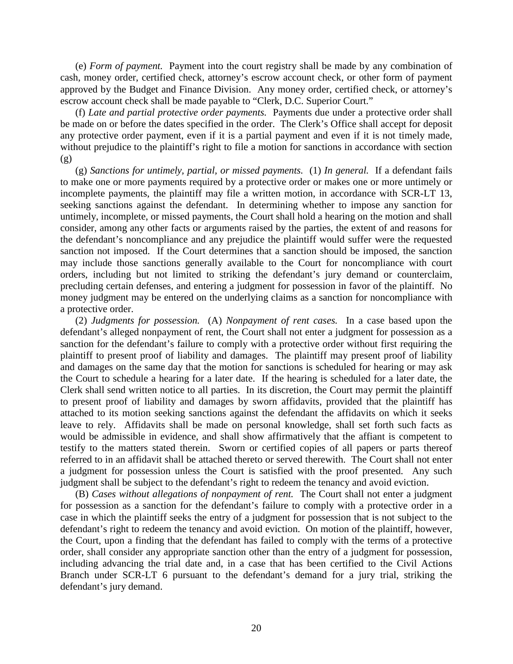(e) *Form of payment.* Payment into the court registry shall be made by any combination of cash, money order, certified check, attorney's escrow account check, or other form of payment approved by the Budget and Finance Division. Any money order, certified check, or attorney's escrow account check shall be made payable to "Clerk, D.C. Superior Court."

(f) *Late and partial protective order payments.* Payments due under a protective order shall be made on or before the dates specified in the order. The Clerk's Office shall accept for deposit any protective order payment, even if it is a partial payment and even if it is not timely made, without prejudice to the plaintiff's right to file a motion for sanctions in accordance with section (g)

(g) *Sanctions for untimely, partial, or missed payments.*(1) *In general.*If a defendant fails to make one or more payments required by a protective order or makes one or more untimely or incomplete payments, the plaintiff may file a written motion, in accordance with SCR-LT 13, seeking sanctions against the defendant. In determining whether to impose any sanction for untimely, incomplete, or missed payments, the Court shall hold a hearing on the motion and shall consider, among any other facts or arguments raised by the parties, the extent of and reasons for the defendant's noncompliance and any prejudice the plaintiff would suffer were the requested sanction not imposed. If the Court determines that a sanction should be imposed, the sanction may include those sanctions generally available to the Court for noncompliance with court orders, including but not limited to striking the defendant's jury demand or counterclaim, precluding certain defenses, and entering a judgment for possession in favor of the plaintiff. No money judgment may be entered on the underlying claims as a sanction for noncompliance with a protective order.

(2) *Judgments for possession.* (A) *Nonpayment of rent cases.* In a case based upon the defendant's alleged nonpayment of rent, the Court shall not enter a judgment for possession as a sanction for the defendant's failure to comply with a protective order without first requiring the plaintiff to present proof of liability and damages. The plaintiff may present proof of liability and damages on the same day that the motion for sanctions is scheduled for hearing or may ask the Court to schedule a hearing for a later date. If the hearing is scheduled for a later date, the Clerk shall send written notice to all parties. In its discretion, the Court may permit the plaintiff to present proof of liability and damages by sworn affidavits, provided that the plaintiff has attached to its motion seeking sanctions against the defendant the affidavits on which it seeks leave to rely. Affidavits shall be made on personal knowledge, shall set forth such facts as would be admissible in evidence, and shall show affirmatively that the affiant is competent to testify to the matters stated therein. Sworn or certified copies of all papers or parts thereof referred to in an affidavit shall be attached thereto or served therewith. The Court shall not enter a judgment for possession unless the Court is satisfied with the proof presented. Any such judgment shall be subject to the defendant's right to redeem the tenancy and avoid eviction.

(B) *Cases without allegations of nonpayment of rent.* The Court shall not enter a judgment for possession as a sanction for the defendant's failure to comply with a protective order in a case in which the plaintiff seeks the entry of a judgment for possession that is not subject to the defendant's right to redeem the tenancy and avoid eviction. On motion of the plaintiff, however, the Court, upon a finding that the defendant has failed to comply with the terms of a protective order, shall consider any appropriate sanction other than the entry of a judgment for possession, including advancing the trial date and, in a case that has been certified to the Civil Actions Branch under SCR-LT 6 pursuant to the defendant's demand for a jury trial, striking the defendant's jury demand.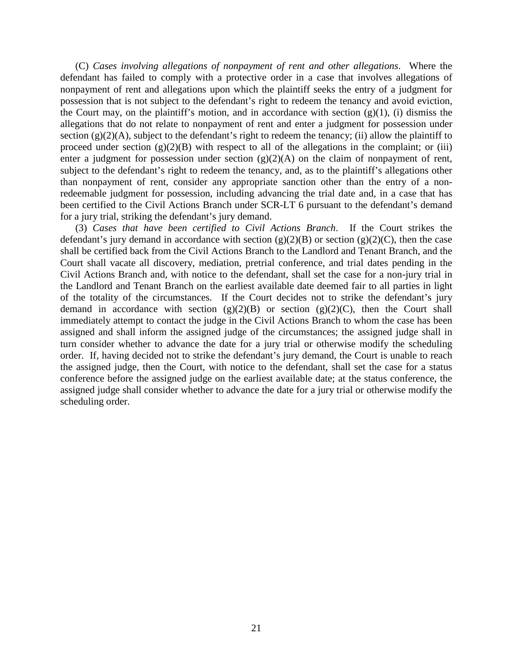(C) *Cases involving allegations of nonpayment of rent and other allegations*. Where the defendant has failed to comply with a protective order in a case that involves allegations of nonpayment of rent and allegations upon which the plaintiff seeks the entry of a judgment for possession that is not subject to the defendant's right to redeem the tenancy and avoid eviction, the Court may, on the plaintiff's motion, and in accordance with section  $(g)(1)$ , (i) dismiss the allegations that do not relate to nonpayment of rent and enter a judgment for possession under section  $(g)(2)(A)$ , subject to the defendant's right to redeem the tenancy; (ii) allow the plaintiff to proceed under section  $(g)(2)(B)$  with respect to all of the allegations in the complaint; or (iii) enter a judgment for possession under section  $(g)(2)(A)$  on the claim of nonpayment of rent, subject to the defendant's right to redeem the tenancy, and, as to the plaintiff's allegations other than nonpayment of rent, consider any appropriate sanction other than the entry of a nonredeemable judgment for possession, including advancing the trial date and, in a case that has been certified to the Civil Actions Branch under SCR-LT 6 pursuant to the defendant's demand for a jury trial, striking the defendant's jury demand.

(3) *Cases that have been certified to Civil Actions Branch*. If the Court strikes the defendant's jury demand in accordance with section  $(g)(2)(B)$  or section  $(g)(2)(C)$ , then the case shall be certified back from the Civil Actions Branch to the Landlord and Tenant Branch, and the Court shall vacate all discovery, mediation, pretrial conference, and trial dates pending in the Civil Actions Branch and, with notice to the defendant, shall set the case for a non-jury trial in the Landlord and Tenant Branch on the earliest available date deemed fair to all parties in light of the totality of the circumstances. If the Court decides not to strike the defendant's jury demand in accordance with section  $(g)(2)(B)$  or section  $(g)(2)(C)$ , then the Court shall immediately attempt to contact the judge in the Civil Actions Branch to whom the case has been assigned and shall inform the assigned judge of the circumstances; the assigned judge shall in turn consider whether to advance the date for a jury trial or otherwise modify the scheduling order. If, having decided not to strike the defendant's jury demand, the Court is unable to reach the assigned judge, then the Court, with notice to the defendant, shall set the case for a status conference before the assigned judge on the earliest available date; at the status conference, the assigned judge shall consider whether to advance the date for a jury trial or otherwise modify the scheduling order.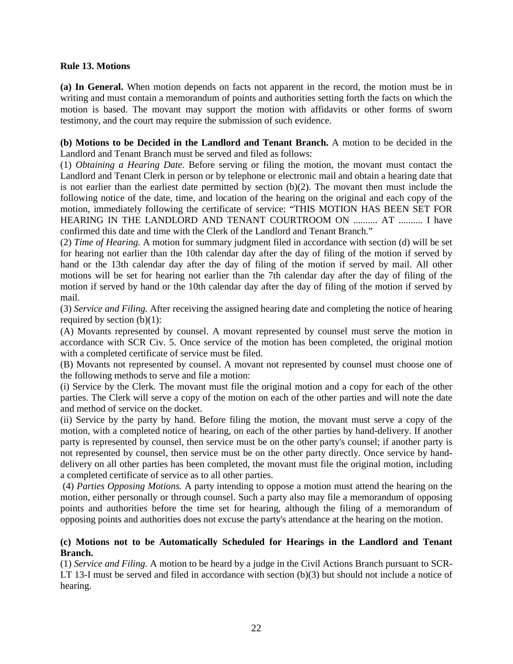# **Rule 13. Motions**

**(a) In General.** When motion depends on facts not apparent in the record, the motion must be in writing and must contain a memorandum of points and authorities setting forth the facts on which the motion is based. The movant may support the motion with affidavits or other forms of sworn testimony, and the court may require the submission of such evidence.

**(b) Motions to be Decided in the Landlord and Tenant Branch.** A motion to be decided in the Landlord and Tenant Branch must be served and filed as follows:

(1) *Obtaining a Hearing Date.* Before serving or filing the motion, the movant must contact the Landlord and Tenant Clerk in person or by telephone or electronic mail and obtain a hearing date that is not earlier than the earliest date permitted by section  $(b)(2)$ . The movant then must include the following notice of the date, time, and location of the hearing on the original and each copy of the motion, immediately following the certificate of service: "THIS MOTION HAS BEEN SET FOR HEARING IN THE LANDLORD AND TENANT COURTROOM ON .......... AT .......... I have confirmed this date and time with the Clerk of the Landlord and Tenant Branch."

(2) *Time of Hearing.* A motion for summary judgment filed in accordance with section (d) will be set for hearing not earlier than the 10th calendar day after the day of filing of the motion if served by hand or the 13th calendar day after the day of filing of the motion if served by mail. All other motions will be set for hearing not earlier than the 7th calendar day after the day of filing of the motion if served by hand or the 10th calendar day after the day of filing of the motion if served by mail.

(3) *Service and Filing.* After receiving the assigned hearing date and completing the notice of hearing required by section  $(b)(1)$ :

(A) Movants represented by counsel. A movant represented by counsel must serve the motion in accordance with SCR Civ. 5. Once service of the motion has been completed, the original motion with a completed certificate of service must be filed.

(B) Movants not represented by counsel. A movant not represented by counsel must choose one of the following methods to serve and file a motion:

(i) Service by the Clerk. The movant must file the original motion and a copy for each of the other parties. The Clerk will serve a copy of the motion on each of the other parties and will note the date and method of service on the docket.

(ii) Service by the party by hand. Before filing the motion, the movant must serve a copy of the motion, with a completed notice of hearing, on each of the other parties by hand-delivery. If another party is represented by counsel, then service must be on the other party's counsel; if another party is not represented by counsel, then service must be on the other party directly. Once service by handdelivery on all other parties has been completed, the movant must file the original motion, including a completed certificate of service as to all other parties.

(4) *Parties Opposing Motions.* A party intending to oppose a motion must attend the hearing on the motion, either personally or through counsel. Such a party also may file a memorandum of opposing points and authorities before the time set for hearing, although the filing of a memorandum of opposing points and authorities does not excuse the party's attendance at the hearing on the motion.

# **(c) Motions not to be Automatically Scheduled for Hearings in the Landlord and Tenant Branch.**

(1) *Service and Filing.* A motion to be heard by a judge in the Civil Actions Branch pursuant to SCR-LT 13-I must be served and filed in accordance with section (b)(3) but should not include a notice of hearing.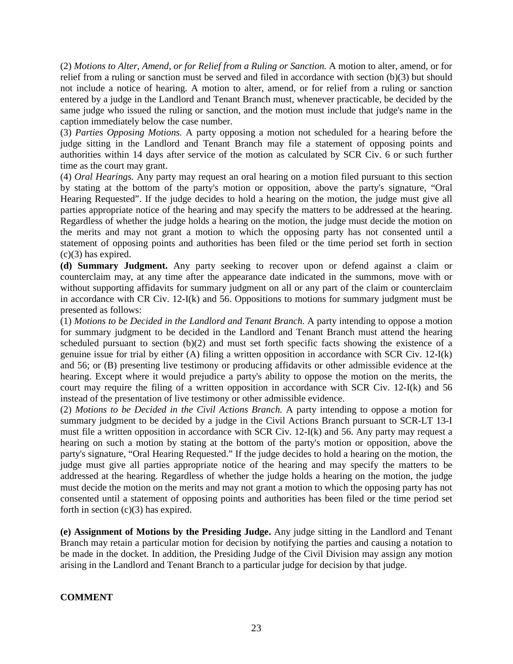(2) *Motions to Alter, Amend, or for Relief from a Ruling or Sanction.* A motion to alter, amend, or for relief from a ruling or sanction must be served and filed in accordance with section (b)(3) but should not include a notice of hearing. A motion to alter, amend, or for relief from a ruling or sanction entered by a judge in the Landlord and Tenant Branch must, whenever practicable, be decided by the same judge who issued the ruling or sanction, and the motion must include that judge's name in the caption immediately below the case number.

(3) *Parties Opposing Motions.* A party opposing a motion not scheduled for a hearing before the judge sitting in the Landlord and Tenant Branch may file a statement of opposing points and authorities within 14 days after service of the motion as calculated by SCR Civ. 6 or such further time as the court may grant.

(4) *Oral Hearings.* Any party may request an oral hearing on a motion filed pursuant to this section by stating at the bottom of the party's motion or opposition, above the party's signature, "Oral Hearing Requested". If the judge decides to hold a hearing on the motion, the judge must give all parties appropriate notice of the hearing and may specify the matters to be addressed at the hearing. Regardless of whether the judge holds a hearing on the motion, the judge must decide the motion on the merits and may not grant a motion to which the opposing party has not consented until a statement of opposing points and authorities has been filed or the time period set forth in section  $(c)(3)$  has expired.

**(d) Summary Judgment.** Any party seeking to recover upon or defend against a claim or counterclaim may, at any time after the appearance date indicated in the summons, move with or without supporting affidavits for summary judgment on all or any part of the claim or counterclaim in accordance with CR Civ. 12-I(k) and 56. Oppositions to motions for summary judgment must be presented as follows:

(1) *Motions to be Decided in the Landlord and Tenant Branch*. A party intending to oppose a motion for summary judgment to be decided in the Landlord and Tenant Branch must attend the hearing scheduled pursuant to section (b)(2) and must set forth specific facts showing the existence of a genuine issue for trial by either (A) filing a written opposition in accordance with SCR Civ. 12-I(k) and 56; or (B) presenting live testimony or producing affidavits or other admissible evidence at the hearing. Except where it would prejudice a party's ability to oppose the motion on the merits, the court may require the filing of a written opposition in accordance with SCR Civ. 12-I(k) and 56 instead of the presentation of live testimony or other admissible evidence.

(2) *Motions to be Decided in the Civil Actions Branch.* A party intending to oppose a motion for summary judgment to be decided by a judge in the Civil Actions Branch pursuant to SCR-LT 13-I must file a written opposition in accordance with SCR Civ. 12-I(k) and 56. Any party may request a hearing on such a motion by stating at the bottom of the party's motion or opposition, above the party's signature, "Oral Hearing Requested." If the judge decides to hold a hearing on the motion, the judge must give all parties appropriate notice of the hearing and may specify the matters to be addressed at the hearing. Regardless of whether the judge holds a hearing on the motion, the judge must decide the motion on the merits and may not grant a motion to which the opposing party has not consented until a statement of opposing points and authorities has been filed or the time period set forth in section  $(c)(3)$  has expired.

**(e) Assignment of Motions by the Presiding Judge.** Any judge sitting in the Landlord and Tenant Branch may retain a particular motion for decision by notifying the parties and causing a notation to be made in the docket. In addition, the Presiding Judge of the Civil Division may assign any motion arising in the Landlord and Tenant Branch to a particular judge for decision by that judge.

**COMMENT**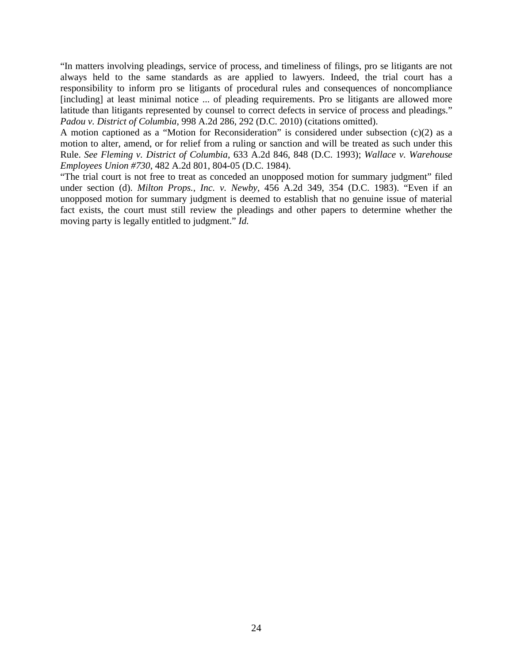"In matters involving pleadings, service of process, and timeliness of filings, pro se litigants are not always held to the same standards as are applied to lawyers. Indeed, the trial court has a responsibility to inform pro se litigants of procedural rules and consequences of noncompliance [including] at least minimal notice ... of pleading requirements. Pro se litigants are allowed more latitude than litigants represented by counsel to correct defects in service of process and pleadings." *Padou v. District of Columbia*, 998 A.2d 286, 292 (D.C. 2010) (citations omitted).

A motion captioned as a "Motion for Reconsideration" is considered under subsection (c)(2) as a motion to alter, amend, or for relief from a ruling or sanction and will be treated as such under this Rule. *See Fleming v. District of Columbia*, 633 A.2d 846, 848 (D.C. 1993); *Wallace v. Warehouse Employees Union #730*, 482 A.2d 801, 804-05 (D.C. 1984).

"The trial court is not free to treat as conceded an unopposed motion for summary judgment" filed under section (d). *Milton Props., Inc. v. Newby*, 456 A.2d 349, 354 (D.C. 1983). "Even if an unopposed motion for summary judgment is deemed to establish that no genuine issue of material fact exists, the court must still review the pleadings and other papers to determine whether the moving party is legally entitled to judgment." *Id.*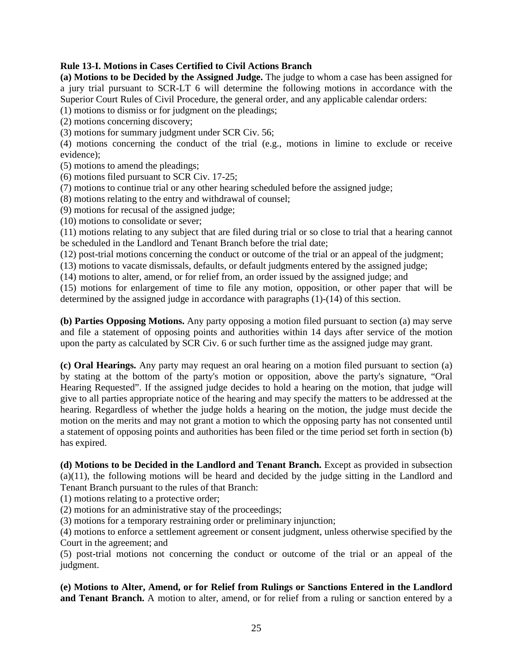# **Rule 13-I. Motions in Cases Certified to Civil Actions Branch**

**(a) Motions to be Decided by the Assigned Judge.** The judge to whom a case has been assigned for a jury trial pursuant to SCR-LT 6 will determine the following motions in accordance with the Superior Court Rules of Civil Procedure, the general order, and any applicable calendar orders:

(1) motions to dismiss or for judgment on the pleadings;

(2) motions concerning discovery;

(3) motions for summary judgment under SCR Civ. 56;

(4) motions concerning the conduct of the trial (e.g., motions in limine to exclude or receive evidence);

(5) motions to amend the pleadings;

(6) motions filed pursuant to SCR Civ. 17-25;

(7) motions to continue trial or any other hearing scheduled before the assigned judge;

(8) motions relating to the entry and withdrawal of counsel;

(9) motions for recusal of the assigned judge;

(10) motions to consolidate or sever;

(11) motions relating to any subject that are filed during trial or so close to trial that a hearing cannot be scheduled in the Landlord and Tenant Branch before the trial date;

(12) post-trial motions concerning the conduct or outcome of the trial or an appeal of the judgment;

(13) motions to vacate dismissals, defaults, or default judgments entered by the assigned judge;

(14) motions to alter, amend, or for relief from, an order issued by the assigned judge; and

(15) motions for enlargement of time to file any motion, opposition, or other paper that will be determined by the assigned judge in accordance with paragraphs (1)-(14) of this section.

**(b) Parties Opposing Motions.** Any party opposing a motion filed pursuant to section (a) may serve and file a statement of opposing points and authorities within 14 days after service of the motion upon the party as calculated by SCR Civ. 6 or such further time as the assigned judge may grant.

**(c) Oral Hearings.** Any party may request an oral hearing on a motion filed pursuant to section (a) by stating at the bottom of the party's motion or opposition, above the party's signature, "Oral Hearing Requested". If the assigned judge decides to hold a hearing on the motion, that judge will give to all parties appropriate notice of the hearing and may specify the matters to be addressed at the hearing. Regardless of whether the judge holds a hearing on the motion, the judge must decide the motion on the merits and may not grant a motion to which the opposing party has not consented until a statement of opposing points and authorities has been filed or the time period set forth in section (b) has expired.

**(d) Motions to be Decided in the Landlord and Tenant Branch.** Except as provided in subsection (a)(11), the following motions will be heard and decided by the judge sitting in the Landlord and Tenant Branch pursuant to the rules of that Branch:

(1) motions relating to a protective order;

(2) motions for an administrative stay of the proceedings;

(3) motions for a temporary restraining order or preliminary injunction;

(4) motions to enforce a settlement agreement or consent judgment, unless otherwise specified by the Court in the agreement; and

(5) post-trial motions not concerning the conduct or outcome of the trial or an appeal of the judgment.

**(e) Motions to Alter, Amend, or for Relief from Rulings or Sanctions Entered in the Landlord**  and Tenant Branch. A motion to alter, amend, or for relief from a ruling or sanction entered by a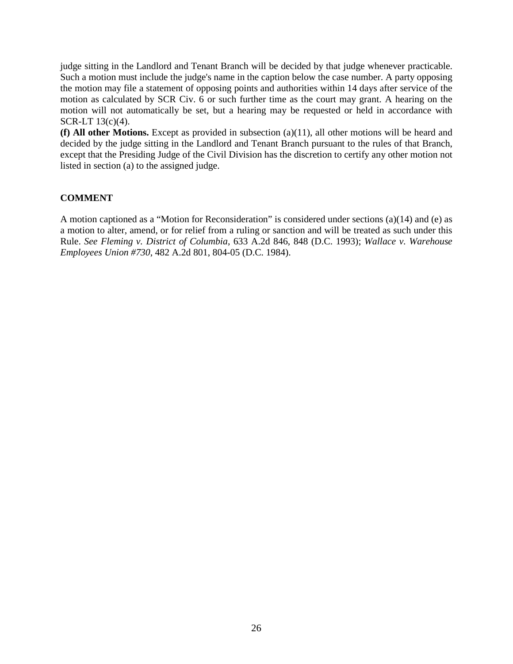judge sitting in the Landlord and Tenant Branch will be decided by that judge whenever practicable. Such a motion must include the judge's name in the caption below the case number. A party opposing the motion may file a statement of opposing points and authorities within 14 days after service of the motion as calculated by SCR Civ. 6 or such further time as the court may grant. A hearing on the motion will not automatically be set, but a hearing may be requested or held in accordance with SCR-LT 13(c)(4).

**(f) All other Motions.** Except as provided in subsection (a)(11), all other motions will be heard and decided by the judge sitting in the Landlord and Tenant Branch pursuant to the rules of that Branch, except that the Presiding Judge of the Civil Division has the discretion to certify any other motion not listed in section (a) to the assigned judge.

# **COMMENT**

A motion captioned as a "Motion for Reconsideration" is considered under sections (a)(14) and (e) as a motion to alter, amend, or for relief from a ruling or sanction and will be treated as such under this Rule. *See Fleming v. District of Columbia*, 633 A.2d 846, 848 (D.C. 1993); *Wallace v. Warehouse Employees Union #730*, 482 A.2d 801, 804-05 (D.C. 1984).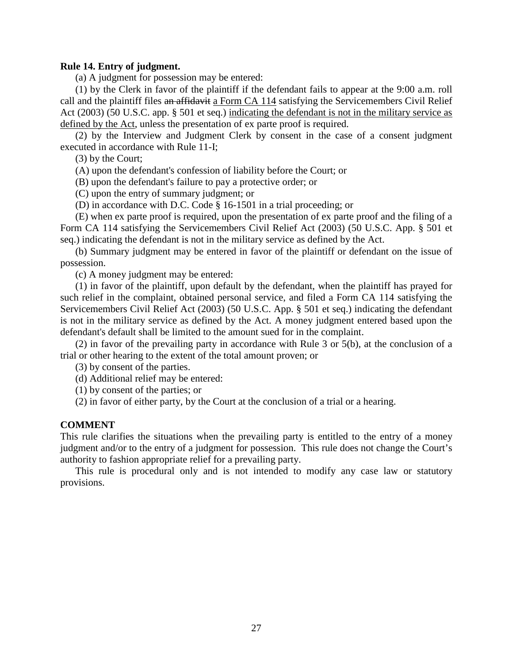# **Rule 14. Entry of judgment.**

(a) A judgment for possession may be entered:

(1) by the Clerk in favor of the plaintiff if the defendant fails to appear at the 9:00 a.m. roll call and the plaintiff files an affidavit a Form CA 114 satisfying the Servicemembers Civil Relief Act (2003) (50 U.S.C. app. § 501 et seq.) indicating the defendant is not in the military service as defined by the Act, unless the presentation of ex parte proof is required.

(2) by the Interview and Judgment Clerk by consent in the case of a consent judgment executed in accordance with Rule 11-I;

(3) by the Court;

(A) upon the defendant's confession of liability before the Court; or

(B) upon the defendant's failure to pay a protective order; or

(C) upon the entry of summary judgment; or

(D) in accordance with D.C. Code § 16-1501 in a trial proceeding; or

(E) when ex parte proof is required, upon the presentation of ex parte proof and the filing of a Form CA 114 satisfying the Servicemembers Civil Relief Act (2003) (50 U.S.C. App. § 501 et seq.) indicating the defendant is not in the military service as defined by the Act.

(b) Summary judgment may be entered in favor of the plaintiff or defendant on the issue of possession.

(c) A money judgment may be entered:

(1) in favor of the plaintiff, upon default by the defendant, when the plaintiff has prayed for such relief in the complaint, obtained personal service, and filed a Form CA 114 satisfying the Servicemembers Civil Relief Act (2003) (50 U.S.C. App. § 501 et seq.) indicating the defendant is not in the military service as defined by the Act. A money judgment entered based upon the defendant's default shall be limited to the amount sued for in the complaint.

(2) in favor of the prevailing party in accordance with Rule 3 or 5(b), at the conclusion of a trial or other hearing to the extent of the total amount proven; or

(3) by consent of the parties.

(d) Additional relief may be entered:

(1) by consent of the parties; or

(2) in favor of either party, by the Court at the conclusion of a trial or a hearing.

#### **COMMENT**

This rule clarifies the situations when the prevailing party is entitled to the entry of a money judgment and/or to the entry of a judgment for possession. This rule does not change the Court's authority to fashion appropriate relief for a prevailing party.

This rule is procedural only and is not intended to modify any case law or statutory provisions.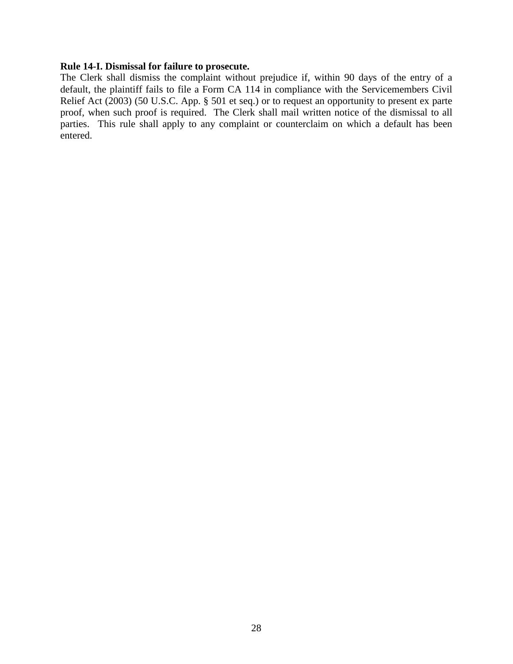## **Rule 14-I. Dismissal for failure to prosecute.**

The Clerk shall dismiss the complaint without prejudice if, within 90 days of the entry of a default, the plaintiff fails to file a Form CA 114 in compliance with the Servicemembers Civil Relief Act (2003) (50 U.S.C. App. § 501 et seq.) or to request an opportunity to present ex parte proof, when such proof is required. The Clerk shall mail written notice of the dismissal to all parties. This rule shall apply to any complaint or counterclaim on which a default has been entered.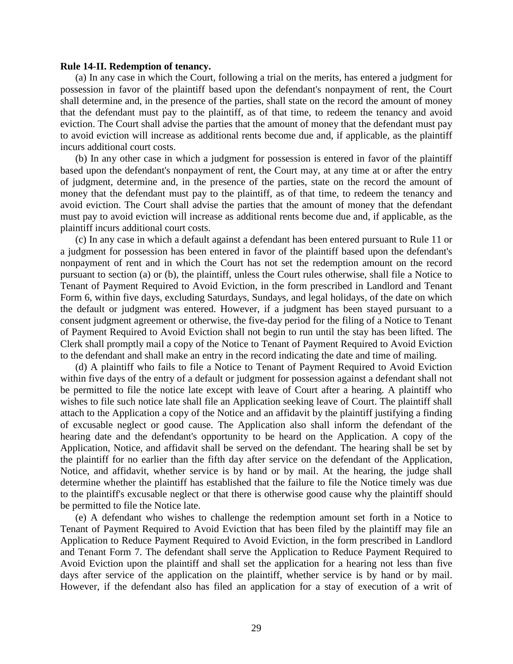#### **Rule 14-II. Redemption of tenancy.**

(a) In any case in which the Court, following a trial on the merits, has entered a judgment for possession in favor of the plaintiff based upon the defendant's nonpayment of rent, the Court shall determine and, in the presence of the parties, shall state on the record the amount of money that the defendant must pay to the plaintiff, as of that time, to redeem the tenancy and avoid eviction. The Court shall advise the parties that the amount of money that the defendant must pay to avoid eviction will increase as additional rents become due and, if applicable, as the plaintiff incurs additional court costs.

(b) In any other case in which a judgment for possession is entered in favor of the plaintiff based upon the defendant's nonpayment of rent, the Court may, at any time at or after the entry of judgment, determine and, in the presence of the parties, state on the record the amount of money that the defendant must pay to the plaintiff, as of that time, to redeem the tenancy and avoid eviction. The Court shall advise the parties that the amount of money that the defendant must pay to avoid eviction will increase as additional rents become due and, if applicable, as the plaintiff incurs additional court costs.

(c) In any case in which a default against a defendant has been entered pursuant to Rule 11 or a judgment for possession has been entered in favor of the plaintiff based upon the defendant's nonpayment of rent and in which the Court has not set the redemption amount on the record pursuant to section (a) or (b), the plaintiff, unless the Court rules otherwise, shall file a Notice to Tenant of Payment Required to Avoid Eviction, in the form prescribed in Landlord and Tenant Form 6, within five days, excluding Saturdays, Sundays, and legal holidays, of the date on which the default or judgment was entered. However, if a judgment has been stayed pursuant to a consent judgment agreement or otherwise, the five-day period for the filing of a Notice to Tenant of Payment Required to Avoid Eviction shall not begin to run until the stay has been lifted. The Clerk shall promptly mail a copy of the Notice to Tenant of Payment Required to Avoid Eviction to the defendant and shall make an entry in the record indicating the date and time of mailing.

(d) A plaintiff who fails to file a Notice to Tenant of Payment Required to Avoid Eviction within five days of the entry of a default or judgment for possession against a defendant shall not be permitted to file the notice late except with leave of Court after a hearing. A plaintiff who wishes to file such notice late shall file an Application seeking leave of Court. The plaintiff shall attach to the Application a copy of the Notice and an affidavit by the plaintiff justifying a finding of excusable neglect or good cause. The Application also shall inform the defendant of the hearing date and the defendant's opportunity to be heard on the Application. A copy of the Application, Notice, and affidavit shall be served on the defendant. The hearing shall be set by the plaintiff for no earlier than the fifth day after service on the defendant of the Application, Notice, and affidavit, whether service is by hand or by mail. At the hearing, the judge shall determine whether the plaintiff has established that the failure to file the Notice timely was due to the plaintiff's excusable neglect or that there is otherwise good cause why the plaintiff should be permitted to file the Notice late.

(e) A defendant who wishes to challenge the redemption amount set forth in a Notice to Tenant of Payment Required to Avoid Eviction that has been filed by the plaintiff may file an Application to Reduce Payment Required to Avoid Eviction, in the form prescribed in Landlord and Tenant Form 7. The defendant shall serve the Application to Reduce Payment Required to Avoid Eviction upon the plaintiff and shall set the application for a hearing not less than five days after service of the application on the plaintiff, whether service is by hand or by mail. However, if the defendant also has filed an application for a stay of execution of a writ of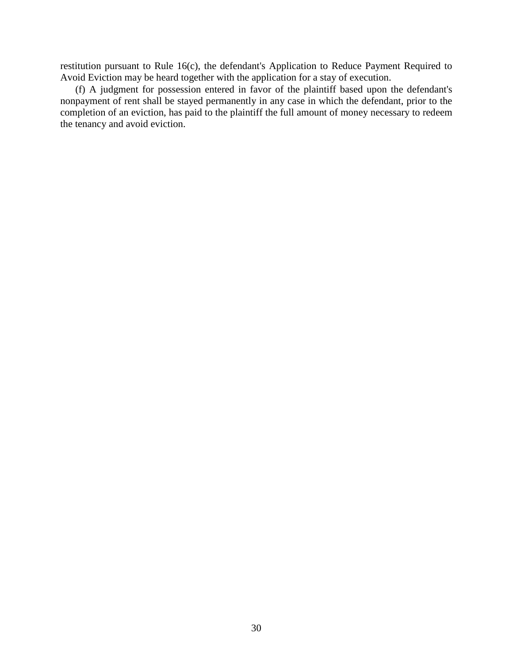restitution pursuant to Rule 16(c), the defendant's Application to Reduce Payment Required to Avoid Eviction may be heard together with the application for a stay of execution.

(f) A judgment for possession entered in favor of the plaintiff based upon the defendant's nonpayment of rent shall be stayed permanently in any case in which the defendant, prior to the completion of an eviction, has paid to the plaintiff the full amount of money necessary to redeem the tenancy and avoid eviction.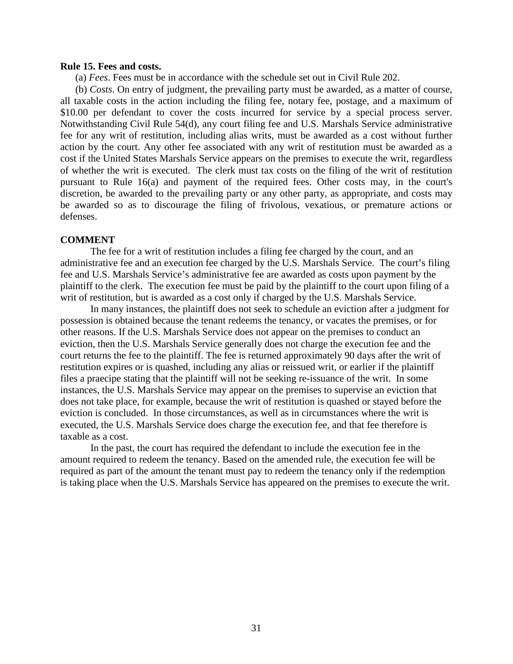# **Rule 15. Fees and costs.**

(a) *Fees*. Fees must be in accordance with the schedule set out in Civil Rule 202.

(b) *Costs*. On entry of judgment, the prevailing party must be awarded, as a matter of course, all taxable costs in the action including the filing fee, notary fee, postage, and a maximum of \$10.00 per defendant to cover the costs incurred for service by a special process server. Notwithstanding Civil Rule 54(d), any court filing fee and U.S. Marshals Service administrative fee for any writ of restitution, including alias writs, must be awarded as a cost without further action by the court. Any other fee associated with any writ of restitution must be awarded as a cost if the United States Marshals Service appears on the premises to execute the writ, regardless of whether the writ is executed. The clerk must tax costs on the filing of the writ of restitution pursuant to Rule 16(a) and payment of the required fees. Other costs may, in the court's discretion, be awarded to the prevailing party or any other party, as appropriate, and costs may be awarded so as to discourage the filing of frivolous, vexatious, or premature actions or defenses.

#### **COMMENT**

The fee for a writ of restitution includes a filing fee charged by the court, and an administrative fee and an execution fee charged by the U.S. Marshals Service. The court's filing fee and U.S. Marshals Service's administrative fee are awarded as costs upon payment by the plaintiff to the clerk. The execution fee must be paid by the plaintiff to the court upon filing of a writ of restitution, but is awarded as a cost only if charged by the U.S. Marshals Service.

In many instances, the plaintiff does not seek to schedule an eviction after a judgment for possession is obtained because the tenant redeems the tenancy, or vacates the premises, or for other reasons. If the U.S. Marshals Service does not appear on the premises to conduct an eviction, then the U.S. Marshals Service generally does not charge the execution fee and the court returns the fee to the plaintiff. The fee is returned approximately 90 days after the writ of restitution expires or is quashed, including any alias or reissued writ, or earlier if the plaintiff files a praecipe stating that the plaintiff will not be seeking re-issuance of the writ. In some instances, the U.S. Marshals Service may appear on the premises to supervise an eviction that does not take place, for example, because the writ of restitution is quashed or stayed before the eviction is concluded. In those circumstances, as well as in circumstances where the writ is executed, the U.S. Marshals Service does charge the execution fee, and that fee therefore is taxable as a cost.

In the past, the court has required the defendant to include the execution fee in the amount required to redeem the tenancy. Based on the amended rule, the execution fee will be required as part of the amount the tenant must pay to redeem the tenancy only if the redemption is taking place when the U.S. Marshals Service has appeared on the premises to execute the writ.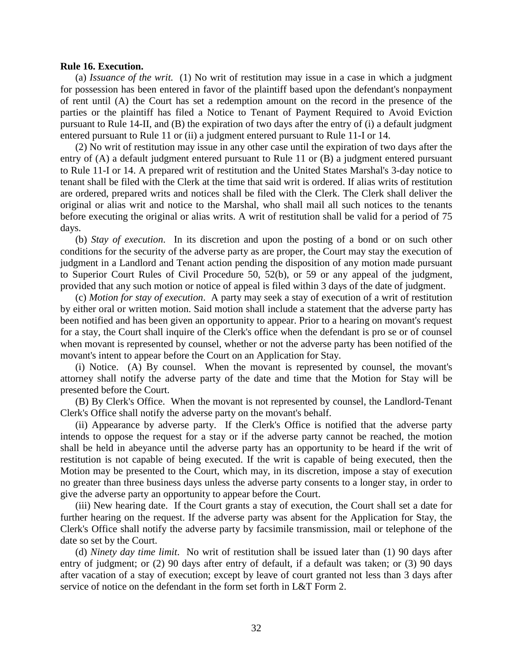#### **Rule 16. Execution.**

(a) *Issuance of the writ.*(1) No writ of restitution may issue in a case in which a judgment for possession has been entered in favor of the plaintiff based upon the defendant's nonpayment of rent until (A) the Court has set a redemption amount on the record in the presence of the parties or the plaintiff has filed a Notice to Tenant of Payment Required to Avoid Eviction pursuant to Rule 14-II, and (B) the expiration of two days after the entry of (i) a default judgment entered pursuant to Rule 11 or (ii) a judgment entered pursuant to Rule 11-I or 14.

(2) No writ of restitution may issue in any other case until the expiration of two days after the entry of (A) a default judgment entered pursuant to Rule 11 or (B) a judgment entered pursuant to Rule 11-I or 14. A prepared writ of restitution and the United States Marshal's 3-day notice to tenant shall be filed with the Clerk at the time that said writ is ordered. If alias writs of restitution are ordered, prepared writs and notices shall be filed with the Clerk. The Clerk shall deliver the original or alias writ and notice to the Marshal, who shall mail all such notices to the tenants before executing the original or alias writs. A writ of restitution shall be valid for a period of 75 days.

(b) *Stay of execution*.In its discretion and upon the posting of a bond or on such other conditions for the security of the adverse party as are proper, the Court may stay the execution of judgment in a Landlord and Tenant action pending the disposition of any motion made pursuant to Superior Court Rules of Civil Procedure 50, 52(b), or 59 or any appeal of the judgment, provided that any such motion or notice of appeal is filed within 3 days of the date of judgment.

(c) *Motion for stay of execution*.A party may seek a stay of execution of a writ of restitution by either oral or written motion. Said motion shall include a statement that the adverse party has been notified and has been given an opportunity to appear. Prior to a hearing on movant's request for a stay, the Court shall inquire of the Clerk's office when the defendant is pro se or of counsel when movant is represented by counsel, whether or not the adverse party has been notified of the movant's intent to appear before the Court on an Application for Stay.

(i) Notice.(A) By counsel.When the movant is represented by counsel, the movant's attorney shall notify the adverse party of the date and time that the Motion for Stay will be presented before the Court.

(B) By Clerk's Office.When the movant is not represented by counsel, the Landlord-Tenant Clerk's Office shall notify the adverse party on the movant's behalf.

(ii) Appearance by adverse party.If the Clerk's Office is notified that the adverse party intends to oppose the request for a stay or if the adverse party cannot be reached, the motion shall be held in abeyance until the adverse party has an opportunity to be heard if the writ of restitution is not capable of being executed. If the writ is capable of being executed, then the Motion may be presented to the Court, which may, in its discretion, impose a stay of execution no greater than three business days unless the adverse party consents to a longer stay, in order to give the adverse party an opportunity to appear before the Court.

(iii) New hearing date.If the Court grants a stay of execution, the Court shall set a date for further hearing on the request. If the adverse party was absent for the Application for Stay, the Clerk's Office shall notify the adverse party by facsimile transmission, mail or telephone of the date so set by the Court.

(d) *Ninety day time limit*.No writ of restitution shall be issued later than (1) 90 days after entry of judgment; or (2) 90 days after entry of default, if a default was taken; or (3) 90 days after vacation of a stay of execution; except by leave of court granted not less than 3 days after service of notice on the defendant in the form set forth in L&T Form 2.